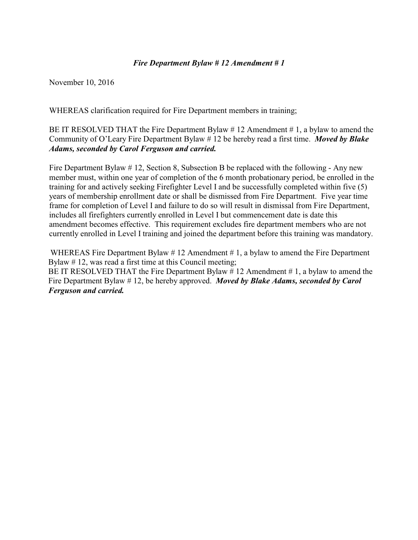### *Fire Department Bylaw # 12 Amendment # 1*

November 10, 2016

WHEREAS clarification required for Fire Department members in training;

BE IT RESOLVED THAT the Fire Department Bylaw  $\# 12$  Amendment  $\# 1$ , a bylaw to amend the Community of O'Leary Fire Department Bylaw # 12 be hereby read a first time. *Moved by Blake Adams, seconded by Carol Ferguson and carried.* 

Fire Department Bylaw # 12, Section 8, Subsection B be replaced with the following - Any new member must, within one year of completion of the 6 month probationary period, be enrolled in the training for and actively seeking Firefighter Level I and be successfully completed within five (5) years of membership enrollment date or shall be dismissed from Fire Department. Five year time frame for completion of Level I and failure to do so will result in dismissal from Fire Department, includes all firefighters currently enrolled in Level I but commencement date is date this amendment becomes effective. This requirement excludes fire department members who are not currently enrolled in Level I training and joined the department before this training was mandatory.

WHEREAS Fire Department Bylaw #12 Amendment #1, a bylaw to amend the Fire Department Bylaw # 12, was read a first time at this Council meeting; BE IT RESOLVED THAT the Fire Department Bylaw #12 Amendment #1, a bylaw to amend the Fire Department Bylaw # 12, be hereby approved. *Moved by Blake Adams, seconded by Carol Ferguson and carried.*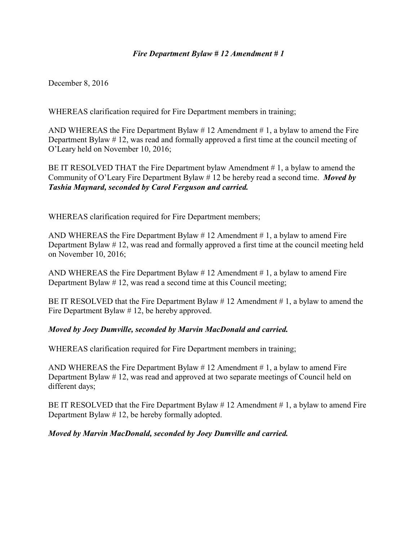# *Fire Department Bylaw # 12 Amendment # 1*

December 8, 2016

WHEREAS clarification required for Fire Department members in training;

AND WHEREAS the Fire Department Bylaw  $\# 12$  Amendment  $\# 1$ , a bylaw to amend the Fire Department Bylaw # 12, was read and formally approved a first time at the council meeting of O'Leary held on November 10, 2016;

BE IT RESOLVED THAT the Fire Department bylaw Amendment #1, a bylaw to amend the Community of O'Leary Fire Department Bylaw # 12 be hereby read a second time. *Moved by Tashia Maynard, seconded by Carol Ferguson and carried.*

WHEREAS clarification required for Fire Department members;

AND WHEREAS the Fire Department Bylaw  $\# 12$  Amendment  $\# 1$ , a bylaw to amend Fire Department Bylaw # 12, was read and formally approved a first time at the council meeting held on November 10, 2016;

AND WHEREAS the Fire Department Bylaw  $# 12$  Amendment  $# 1$ , a bylaw to amend Fire Department Bylaw # 12, was read a second time at this Council meeting;

BE IT RESOLVED that the Fire Department Bylaw  $\# 12$  Amendment  $\# 1$ , a bylaw to amend the Fire Department Bylaw # 12, be hereby approved.

#### *Moved by Joey Dumville, seconded by Marvin MacDonald and carried.*

WHEREAS clarification required for Fire Department members in training;

AND WHEREAS the Fire Department Bylaw  $\# 12$  Amendment  $\# 1$ , a bylaw to amend Fire Department Bylaw # 12, was read and approved at two separate meetings of Council held on different days;

BE IT RESOLVED that the Fire Department Bylaw # 12 Amendment # 1, a bylaw to amend Fire Department Bylaw # 12, be hereby formally adopted.

#### *Moved by Marvin MacDonald, seconded by Joey Dumville and carried.*